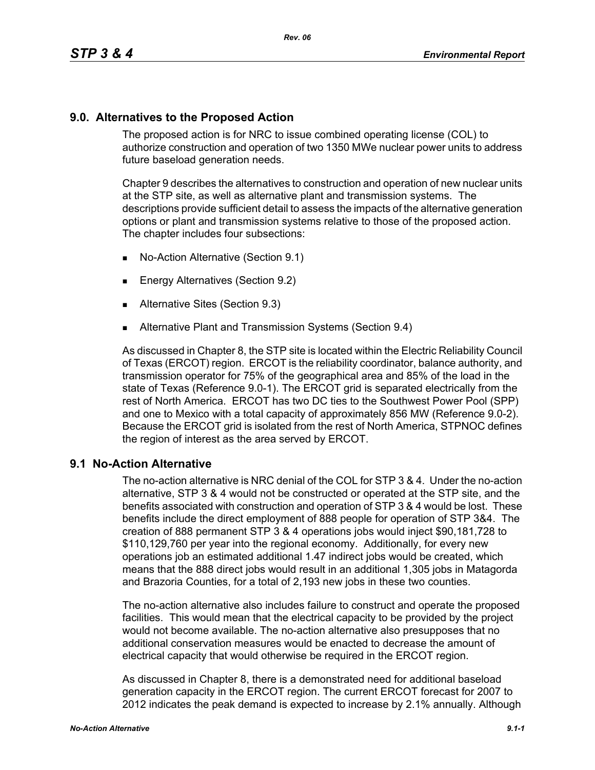## **9.0. Alternatives to the Proposed Action**

The proposed action is for NRC to issue combined operating license (COL) to authorize construction and operation of two 1350 MWe nuclear power units to address future baseload generation needs.

Chapter 9 describes the alternatives to construction and operation of new nuclear units at the STP site, as well as alternative plant and transmission systems. The descriptions provide sufficient detail to assess the impacts of the alternative generation options or plant and transmission systems relative to those of the proposed action. The chapter includes four subsections:

- No-Action Alternative (Section 9.1)
- **Energy Alternatives (Section 9.2)**
- **Alternative Sites (Section 9.3)**
- **Alternative Plant and Transmission Systems (Section 9.4)**

As discussed in Chapter 8, the STP site is located within the Electric Reliability Council of Texas (ERCOT) region. ERCOT is the reliability coordinator, balance authority, and transmission operator for 75% of the geographical area and 85% of the load in the state of Texas (Reference 9.0-1). The ERCOT grid is separated electrically from the rest of North America. ERCOT has two DC ties to the Southwest Power Pool (SPP) and one to Mexico with a total capacity of approximately 856 MW (Reference 9.0-2). Because the ERCOT grid is isolated from the rest of North America, STPNOC defines the region of interest as the area served by ERCOT.

## **9.1 No-Action Alternative**

The no-action alternative is NRC denial of the COL for STP 3 & 4. Under the no-action alternative, STP 3 & 4 would not be constructed or operated at the STP site, and the benefits associated with construction and operation of STP 3 & 4 would be lost. These benefits include the direct employment of 888 people for operation of STP 3&4. The creation of 888 permanent STP 3 & 4 operations jobs would inject \$90,181,728 to \$110,129,760 per year into the regional economy. Additionally, for every new operations job an estimated additional 1.47 indirect jobs would be created, which means that the 888 direct jobs would result in an additional 1,305 jobs in Matagorda and Brazoria Counties, for a total of 2,193 new jobs in these two counties.

The no-action alternative also includes failure to construct and operate the proposed facilities. This would mean that the electrical capacity to be provided by the project would not become available. The no-action alternative also presupposes that no additional conservation measures would be enacted to decrease the amount of electrical capacity that would otherwise be required in the ERCOT region.

As discussed in Chapter 8, there is a demonstrated need for additional baseload generation capacity in the ERCOT region. The current ERCOT forecast for 2007 to 2012 indicates the peak demand is expected to increase by 2.1% annually. Although